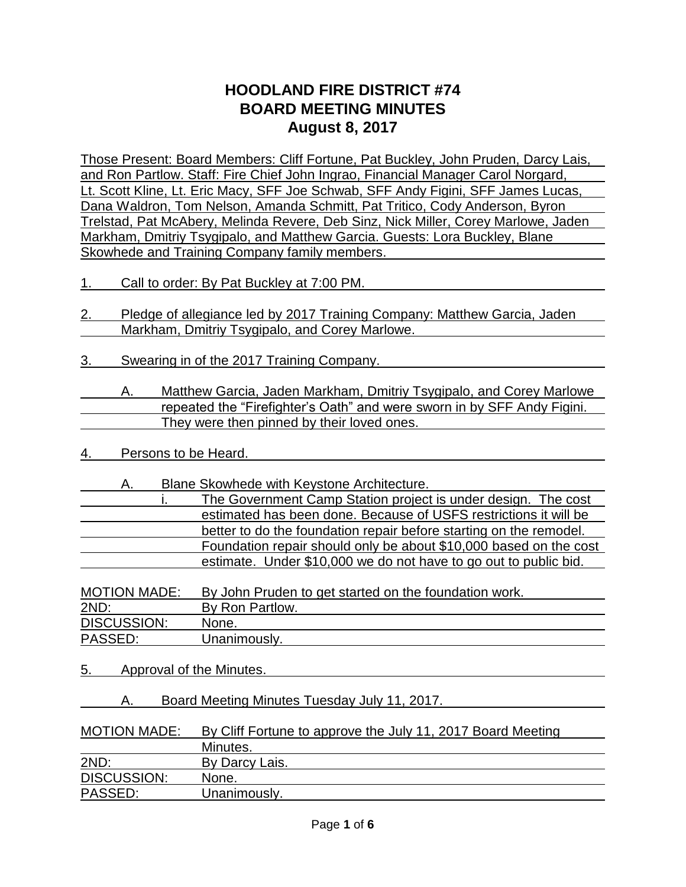# **HOODLAND FIRE DISTRICT #74 BOARD MEETING MINUTES August 8, 2017**

Those Present: Board Members: Cliff Fortune, Pat Buckley, John Pruden, Darcy Lais, and Ron Partlow. Staff: Fire Chief John Ingrao, Financial Manager Carol Norgard, Lt. Scott Kline, Lt. Eric Macy, SFF Joe Schwab, SFF Andy Figini, SFF James Lucas, Dana Waldron, Tom Nelson, Amanda Schmitt, Pat Tritico, Cody Anderson, Byron Trelstad, Pat McAbery, Melinda Revere, Deb Sinz, Nick Miller, Corey Marlowe, Jaden Markham, Dmitriy Tsygipalo, and Matthew Garcia. Guests: Lora Buckley, Blane Skowhede and Training Company family members.

- 1. Call to order: By Pat Buckley at 7:00 PM.
- 2. Pledge of allegiance led by 2017 Training Company: Matthew Garcia, Jaden Markham, Dmitriy Tsygipalo, and Corey Marlowe.
- 3. Swearing in of the 2017 Training Company.
- A. Matthew Garcia, Jaden Markham, Dmitriy Tsygipalo, and Corey Marlowe repeated the "Firefighter's Oath" and were sworn in by SFF Andy Figini. They were then pinned by their loved ones.
- 4. Persons to be Heard.
	- A. Blane Skowhede with Keystone Architecture.

| The Government Camp Station project is under design. The cost      |
|--------------------------------------------------------------------|
| estimated has been done. Because of USFS restrictions it will be   |
| better to do the foundation repair before starting on the remodel. |
| Foundation repair should only be about \$10,000 based on the cost  |
| estimate. Under \$10,000 we do not have to go out to public bid.   |

| <b>MOTION MADE:</b> | By John Pruden to get started on the foundation work. |
|---------------------|-------------------------------------------------------|
| 2ND:                | By Ron Partlow.                                       |
| <b>DISCUSSION:</b>  | None.                                                 |
| PASSED:             | Unanimously.                                          |

- 5. Approval of the Minutes.
	- A. Board Meeting Minutes Tuesday July 11, 2017.

| <b>MOTION MADE:</b> | By Cliff Fortune to approve the July 11, 2017 Board Meeting |
|---------------------|-------------------------------------------------------------|
|                     | Minutes.                                                    |
| 2ND:                | By Darcy Lais.                                              |
| <b>DISCUSSION:</b>  | None.                                                       |
| PASSED:             | Unanimously.                                                |
|                     |                                                             |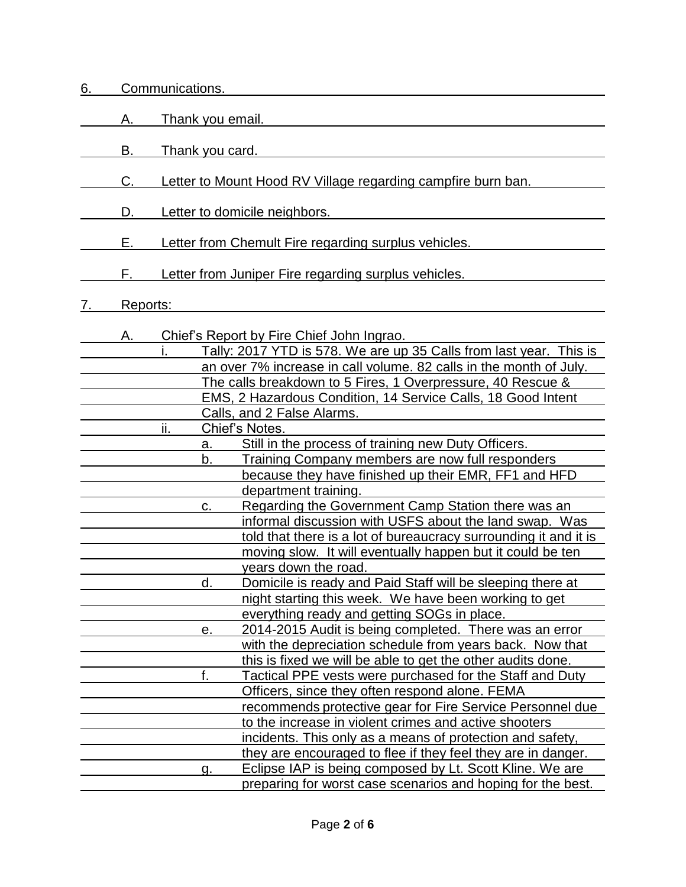| 6. |    | Communications.        |                                                                                                       |
|----|----|------------------------|-------------------------------------------------------------------------------------------------------|
|    | Α. | Thank you email.       |                                                                                                       |
|    | В. | <u>Thank you card.</u> |                                                                                                       |
|    | C. |                        | Letter to Mount Hood RV Village regarding campfire burn ban.                                          |
|    | D. |                        | Letter to domicile neighbors.                                                                         |
|    | Е. |                        | Letter from Chemult Fire regarding surplus vehicles.                                                  |
|    | F. |                        | Letter from Juniper Fire regarding surplus vehicles.                                                  |
|    |    | Reports:               |                                                                                                       |
|    | Α. |                        | Chief's Report by Fire Chief John Ingrao.                                                             |
|    |    |                        | Tally: 2017 YTD is 578. We are up 35 Calls from last year. This is                                    |
|    |    |                        | an over 7% increase in call volume. 82 calls in the month of July.                                    |
|    |    |                        | The calls breakdown to 5 Fires, 1 Overpressure, 40 Rescue &                                           |
|    |    |                        | EMS, 2 Hazardous Condition, 14 Service Calls, 18 Good Intent                                          |
|    |    |                        | Calls, and 2 False Alarms.                                                                            |
|    |    | ii.                    | Chief's Notes.                                                                                        |
|    |    | a.                     | Still in the process of training new Duty Officers.                                                   |
|    |    | b.                     | Training Company members are now full responders                                                      |
|    |    |                        | because they have finished up their EMR, FF1 and HFD                                                  |
|    |    |                        | department training.                                                                                  |
|    |    | C.                     | Regarding the Government Camp Station there was an                                                    |
|    |    |                        | informal discussion with USFS about the land swap. Was                                                |
|    |    |                        | told that there is a lot of bureaucracy surrounding it and it is                                      |
|    |    |                        | moving slow. It will eventually happen but it could be ten                                            |
|    |    |                        | years down the road.                                                                                  |
|    |    | d.                     | Domicile is ready and Paid Staff will be sleeping there at                                            |
|    |    |                        | night starting this week. We have been working to get                                                 |
|    |    |                        | everything ready and getting SOGs in place.<br>2014-2015 Audit is being completed. There was an error |
|    |    | е.                     | with the depreciation schedule from years back. Now that                                              |
|    |    |                        | this is fixed we will be able to get the other audits done.                                           |
|    |    | f.                     | Tactical PPE vests were purchased for the Staff and Duty                                              |
|    |    |                        | Officers, since they often respond alone. FEMA                                                        |
|    |    |                        | recommends protective gear for Fire Service Personnel due                                             |
|    |    |                        | to the increase in violent crimes and active shooters                                                 |
|    |    |                        | incidents. This only as a means of protection and safety,                                             |
|    |    |                        | they are encouraged to flee if they feel they are in danger.                                          |
|    |    | g.                     | Eclipse IAP is being composed by Lt. Scott Kline. We are                                              |
|    |    |                        | preparing for worst case scenarios and hoping for the best.                                           |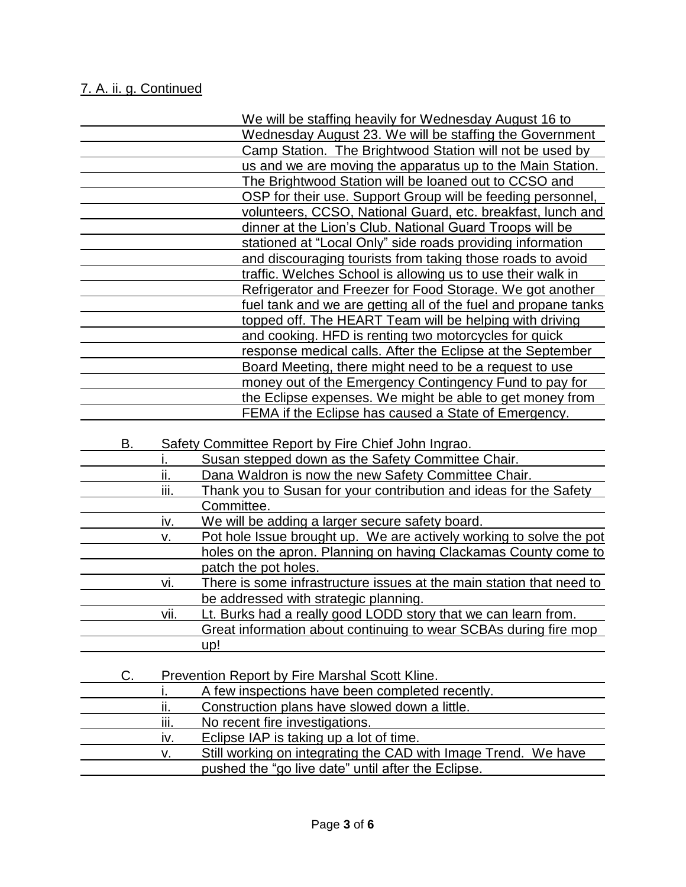# 7. A. ii. g. Continued

|    |      | We will be staffing heavily for Wednesday August 16 to                                                               |
|----|------|----------------------------------------------------------------------------------------------------------------------|
|    |      | Wednesday August 23. We will be staffing the Government                                                              |
|    |      | Camp Station. The Brightwood Station will not be used by                                                             |
|    |      | us and we are moving the apparatus up to the Main Station.                                                           |
|    |      | The Brightwood Station will be loaned out to CCSO and                                                                |
|    |      | OSP for their use. Support Group will be feeding personnel,                                                          |
|    |      | volunteers, CCSO, National Guard, etc. breakfast, lunch and                                                          |
|    |      | dinner at the Lion's Club. National Guard Troops will be                                                             |
|    |      | stationed at "Local Only" side roads providing information                                                           |
|    |      | and discouraging tourists from taking those roads to avoid                                                           |
|    |      | traffic. Welches School is allowing us to use their walk in                                                          |
|    |      | Refrigerator and Freezer for Food Storage. We got another                                                            |
|    |      | fuel tank and we are getting all of the fuel and propane tanks                                                       |
|    |      | topped off. The HEART Team will be helping with driving                                                              |
|    |      | and cooking. HFD is renting two motorcycles for quick                                                                |
|    |      | response medical calls. After the Eclipse at the September                                                           |
|    |      | Board Meeting, there might need to be a request to use                                                               |
|    |      | money out of the Emergency Contingency Fund to pay for                                                               |
|    |      | the Eclipse expenses. We might be able to get money from                                                             |
|    |      | FEMA if the Eclipse has caused a State of Emergency.                                                                 |
| В. |      | Safety Committee Report by Fire Chief John Ingrao.                                                                   |
|    |      | Susan stepped down as the Safety Committee Chair.                                                                    |
|    | ii.  | Dana Waldron is now the new Safety Committee Chair.                                                                  |
|    | iii. | Thank you to Susan for your contribution and ideas for the Safety                                                    |
|    |      | Committee.                                                                                                           |
|    | iv.  | We will be adding a larger secure safety board.                                                                      |
|    | ۷.   | Pot hole Issue brought up. We are actively working to solve the pot                                                  |
|    |      | holes on the apron. Planning on having Clackamas County come to                                                      |
|    |      | patch the pot holes.                                                                                                 |
|    | vi.  | There is some infrastructure issues at the main station that need to                                                 |
|    |      | be addressed with strategic planning.                                                                                |
|    | vii. | Lt. Burks had a really good LODD story that we can learn from.                                                       |
|    |      | Great information about continuing to wear SCBAs during fire mop                                                     |
|    |      | up!                                                                                                                  |
|    |      |                                                                                                                      |
| C. |      | Prevention Report by Fire Marshal Scott Kline.                                                                       |
|    |      |                                                                                                                      |
|    |      | A few inspections have been completed recently.                                                                      |
|    | ii.  | Construction plans have slowed down a little.                                                                        |
|    | iii. | No recent fire investigations.                                                                                       |
|    | iv.  | Eclipse IAP is taking up a lot of time.                                                                              |
|    | ۷.   | Still working on integrating the CAD with Image Trend. We have<br>pushed the "go live date" until after the Eclipse. |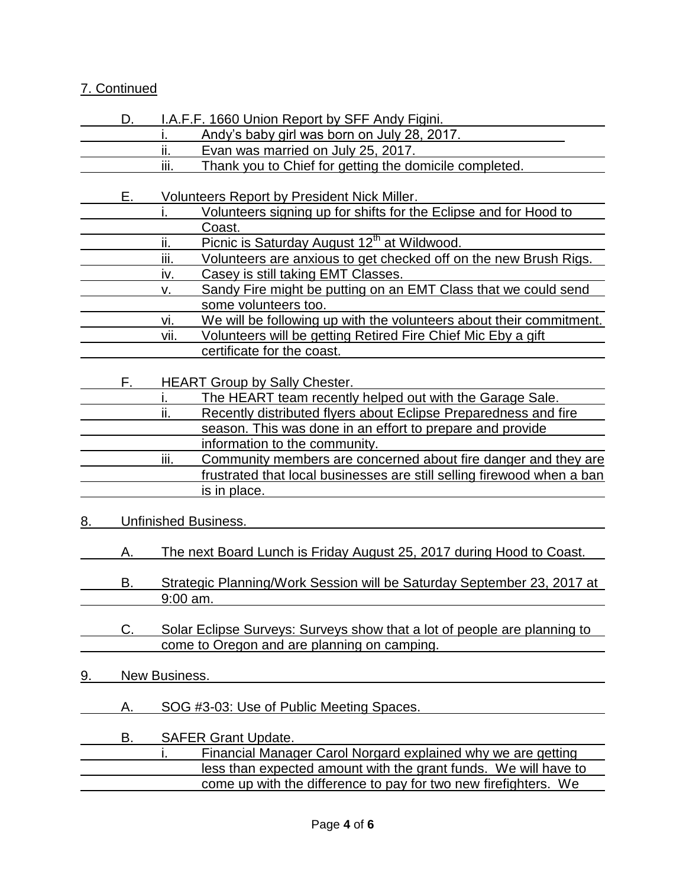# 7. Continued

|           | D. | I.A.F.F. 1660 Union Report by SFF Andy Figini.                                       |
|-----------|----|--------------------------------------------------------------------------------------|
|           |    | Andy's baby girl was born on July 28, 2017.                                          |
|           |    | ii.<br>Evan was married on July 25, 2017.                                            |
|           |    | iii.<br>Thank you to Chief for getting the domicile completed.                       |
|           |    |                                                                                      |
|           | Ε. | Volunteers Report by President Nick Miller.                                          |
|           |    | Volunteers signing up for shifts for the Eclipse and for Hood to                     |
|           |    | Coast.                                                                               |
|           |    | Picnic is Saturday August 12 <sup>th</sup> at Wildwood.<br>ii.                       |
|           |    | iii.<br>Volunteers are anxious to get checked off on the new Brush Rigs.             |
|           |    | Casey is still taking EMT Classes.<br>iv.                                            |
|           |    | Sandy Fire might be putting on an EMT Class that we could send<br>ν.                 |
|           |    | some volunteers too.                                                                 |
|           |    | We will be following up with the volunteers about their commitment.<br>vi.           |
|           |    | Volunteers will be getting Retired Fire Chief Mic Eby a gift<br>vii.                 |
|           |    | certificate for the coast.                                                           |
|           |    |                                                                                      |
|           | F. | <b>HEART Group by Sally Chester.</b>                                                 |
|           |    | The HEART team recently helped out with the Garage Sale.                             |
|           |    | ii.<br>Recently distributed flyers about Eclipse Preparedness and fire               |
|           |    | season. This was done in an effort to prepare and provide                            |
|           |    | information to the community.                                                        |
|           |    | iii.<br>Community members are concerned about fire danger and they are               |
|           |    | frustrated that local businesses are still selling firewood when a ban               |
|           |    | is in place.                                                                         |
|           |    |                                                                                      |
| 8.        |    | <b>Unfinished Business.</b>                                                          |
|           |    |                                                                                      |
|           | Α. | <u>The next Board Lunch is Friday August 25, 2017 during Hood to Coast.</u>          |
|           | В. |                                                                                      |
|           |    | Strategic Planning/Work Session will be Saturday September 23, 2017 at<br>$9:00$ am. |
|           |    |                                                                                      |
|           | C. | Solar Eclipse Surveys: Surveys show that a lot of people are planning to             |
|           |    | come to Oregon and are planning on camping.                                          |
|           |    |                                                                                      |
| <u>9.</u> |    | New Business.                                                                        |
|           |    |                                                                                      |
|           | А. | SOG #3-03: Use of Public Meeting Spaces.                                             |
|           |    |                                                                                      |
|           | В. | <b>SAFER Grant Update.</b>                                                           |
|           |    | Financial Manager Carol Norgard explained why we are getting                         |
|           |    | less than expected amount with the grant funds. We will have to                      |
|           |    |                                                                                      |
|           |    | come up with the difference to pay for two new firefighters. We                      |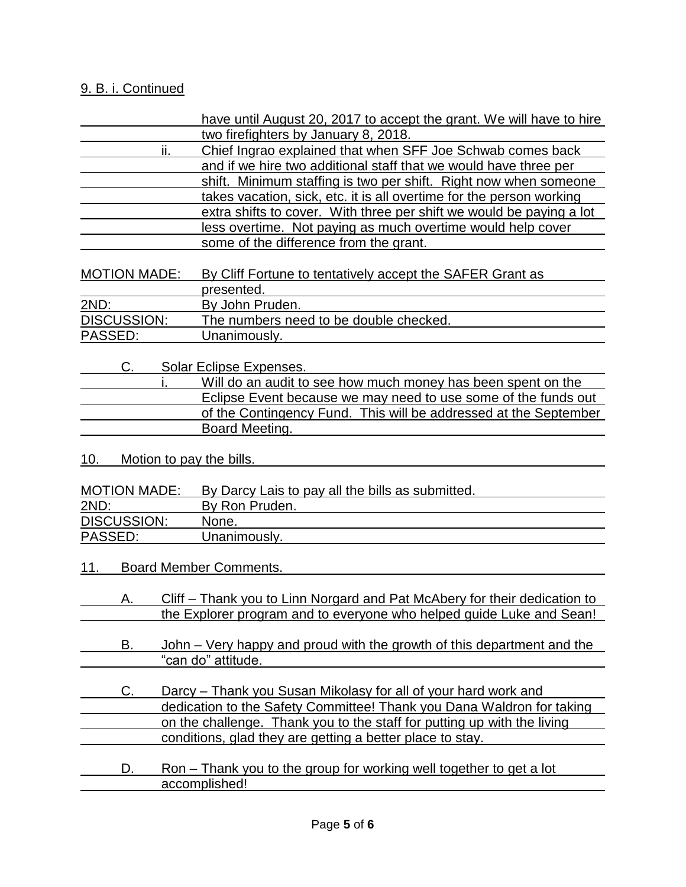## 9. B. i. Continued

|                     | have until August 20, 2017 to accept the grant. We will have to hire       |
|---------------------|----------------------------------------------------------------------------|
|                     | two firefighters by January 8, 2018.                                       |
| ii.                 | Chief Ingrao explained that when SFF Joe Schwab comes back                 |
|                     | and if we hire two additional staff that we would have three per           |
|                     | shift. Minimum staffing is two per shift. Right now when someone           |
|                     | takes vacation, sick, etc. it is all overtime for the person working       |
|                     | extra shifts to cover. With three per shift we would be paying a lot       |
|                     | less overtime. Not paying as much overtime would help cover                |
|                     | some of the difference from the grant.                                     |
|                     |                                                                            |
| <b>MOTION MADE:</b> | By Cliff Fortune to tentatively accept the SAFER Grant as                  |
|                     | presented.                                                                 |
| 2ND:                | By John Pruden.                                                            |
| <b>DISCUSSION:</b>  | The numbers need to be double checked.                                     |
| PASSED:             | Unanimously.                                                               |
| C.                  | Solar Eclipse Expenses.                                                    |
|                     | Will do an audit to see how much money has been spent on the               |
|                     | Eclipse Event because we may need to use some of the funds out             |
|                     | of the Contingency Fund. This will be addressed at the September           |
|                     | Board Meeting.                                                             |
|                     |                                                                            |
| 10.                 | Motion to pay the bills.                                                   |
| <b>MOTION MADE:</b> |                                                                            |
| 2ND:                | By Darcy Lais to pay all the bills as submitted.<br>By Ron Pruden.         |
| <b>DISCUSSION:</b>  | None.                                                                      |
|                     |                                                                            |
| PASSED:             | Unanimously.                                                               |
| <u> 11. </u>        | <b>Board Member Comments.</b>                                              |
|                     |                                                                            |
| А.                  | Cliff – Thank you to Linn Norgard and Pat McAbery for their dedication to  |
|                     | the Explorer program and to everyone who helped guide Luke and Sean!       |
|                     |                                                                            |
| В.                  | John – Very happy and proud with the growth of this department and the     |
|                     | "can do" attitude.                                                         |
|                     |                                                                            |
| C.                  | Darcy – Thank you Susan Mikolasy for all of your hard work and             |
|                     | dedication to the Safety Committee! Thank you Dana Waldron for taking      |
|                     | on the challenge. Thank you to the staff for putting up with the living    |
|                     | conditions, glad they are getting a better place to stay.                  |
| D.                  | <u>Ron – Thank you to the group for working well together to get a lot</u> |
|                     | accomplished!                                                              |
|                     |                                                                            |